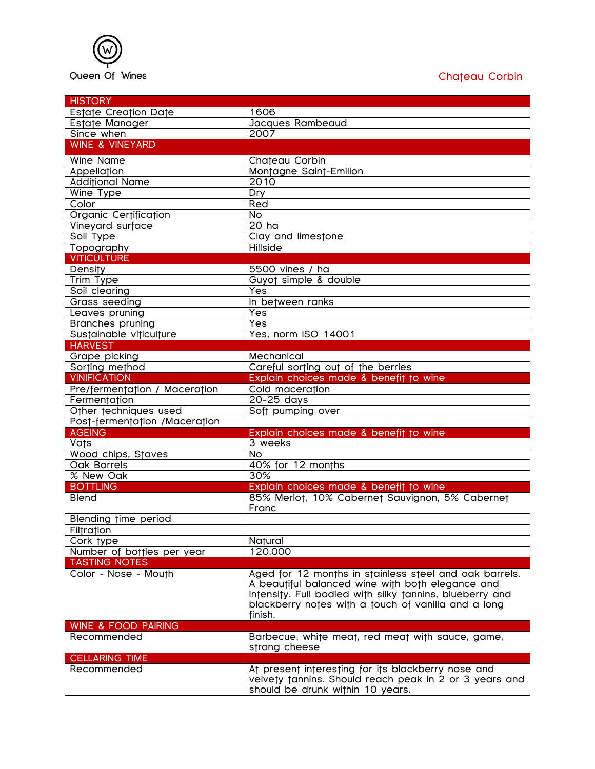

| <b>HISTORY</b>                 |                                                          |
|--------------------------------|----------------------------------------------------------|
| Estate Creation Date           | 1606                                                     |
| Estate Manager                 | Jacques Rambeaud                                         |
| Since when                     | 2007                                                     |
| <b>WINE &amp; VINEYARD</b>     |                                                          |
| <b>Wine Name</b>               | Chateau Corbin                                           |
| Appellation                    | Montagne Saint-Emilion                                   |
| <b>Additional Name</b>         | 2010                                                     |
| Wine Type                      | Dry                                                      |
| Color                          | Red                                                      |
| Organic Certification          | $\overline{N}$                                           |
| Vineyard surface               | 20 <sub>ha</sub>                                         |
| Soil Type                      | Clay and limestone                                       |
| Topography                     | Hillside                                                 |
| <b>VITICULTURE</b>             |                                                          |
| Density                        | $5500$ vines / ha                                        |
| <b>Trim Type</b>               | Guyot simple & double                                    |
| Soil clearing                  | Yes                                                      |
| Grass seeding                  | In between ranks                                         |
| Leaves pruning                 | Yes                                                      |
| <b>Branches pruning</b>        | Yes                                                      |
| Sustainable viticulture        | Yes, norm ISO 14001                                      |
| <b>HARVEST</b>                 |                                                          |
| Grape picking                  | Mechanical                                               |
| Sorting method                 | Careful sorting out of the berries                       |
| <b>VINIFICATION</b>            | Explain choices made & benefit to wine                   |
| Pre/fermentation / Maceration  | Cold maceration                                          |
| Fermentation                   | 20-25 days                                               |
| Other techniques used          | Soft pumping over                                        |
| Post-fermentation /Maceration  |                                                          |
| <b>AGEING</b>                  | Explain choices made & benefit to wine                   |
| Vats                           | 3 weeks                                                  |
| Wood chips, Staves             | $\overline{N}$                                           |
| <b>Oak Barrels</b>             | 40% for 12 months                                        |
| % New Oak                      | 30%                                                      |
| <b>BOTTLING</b>                | Explain choices made & benefit to wine                   |
| <b>Blend</b>                   | 85% Merlot, 10% Cabernet Sauvignon, 5% Cabernet          |
|                                | Franc                                                    |
| Blending time period           |                                                          |
| <b>Filtration</b>              |                                                          |
| Cork type                      | Natural                                                  |
| Number of bottles per year     | 120,000                                                  |
| <b>TASTING NOTES</b>           |                                                          |
| Color - Nose - Mouth           | Aged for 12 months in stainless steel and oak barrels.   |
|                                | A beautiful balanced wine with both elegance and         |
|                                | intensity. Full bodied with silky tannins, blueberry and |
|                                | blackberry notes with a touch of vanilla and a long      |
|                                | finish.                                                  |
| <b>WINE &amp; FOOD PAIRING</b> |                                                          |
| Recommended                    | Barbecue, white meat, red meat with sauce, game,         |
|                                | strong cheese                                            |
| <b>CELLARING TIME</b>          |                                                          |
| Recommended                    | At present interesting for its blackberry nose and       |
|                                | velvety tannins. Should reach peak in 2 or 3 years and   |
|                                | should be drunk within 10 years.                         |